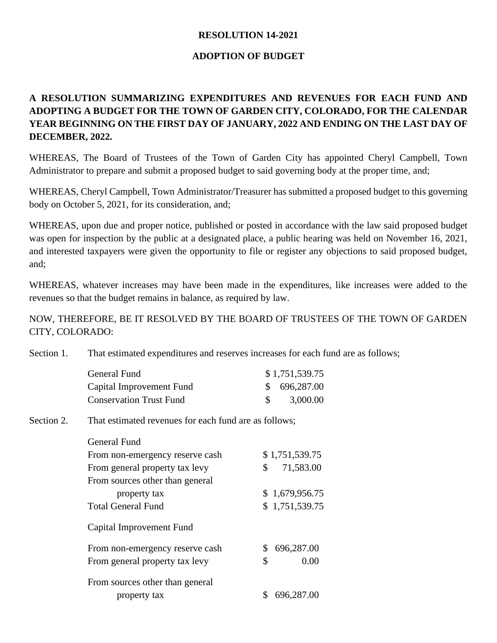## **RESOLUTION 14-2021**

## **ADOPTION OF BUDGET**

## **A RESOLUTION SUMMARIZING EXPENDITURES AND REVENUES FOR EACH FUND AND ADOPTING A BUDGET FOR THE TOWN OF GARDEN CITY, COLORADO, FOR THE CALENDAR YEAR BEGINNING ON THE FIRST DAY OF JANUARY, 2022 AND ENDING ON THE LAST DAY OF DECEMBER, 2022.**

WHEREAS, The Board of Trustees of the Town of Garden City has appointed Cheryl Campbell, Town Administrator to prepare and submit a proposed budget to said governing body at the proper time, and;

WHEREAS, Cheryl Campbell, Town Administrator/Treasurer has submitted a proposed budget to this governing body on October 5, 2021, for its consideration, and;

WHEREAS, upon due and proper notice, published or posted in accordance with the law said proposed budget was open for inspection by the public at a designated place, a public hearing was held on November 16, 2021, and interested taxpayers were given the opportunity to file or register any objections to said proposed budget, and;

WHEREAS, whatever increases may have been made in the expenditures, like increases were added to the revenues so that the budget remains in balance, as required by law.

NOW, THEREFORE, BE IT RESOLVED BY THE BOARD OF TRUSTEES OF THE TOWN OF GARDEN CITY, COLORADO:

Section 1. That estimated expenditures and reserves increases for each fund are as follows;

| General Fund                   | \$1,751,539.75 |
|--------------------------------|----------------|
| Capital Improvement Fund       | \$696,287.00   |
| <b>Conservation Trust Fund</b> | 3,000.00       |

## Section 2. That estimated revenues for each fund are as follows:

| General Fund                    |                  |
|---------------------------------|------------------|
| From non-emergency reserve cash | \$1,751,539.75   |
| From general property tax levy  | 71,583.00<br>\$  |
| From sources other than general |                  |
| property tax                    | \$1,679,956.75   |
| <b>Total General Fund</b>       | \$1,751,539.75   |
| Capital Improvement Fund        |                  |
| From non-emergency reserve cash | 696,287.00<br>S. |
| From general property tax levy  | \$<br>0.00       |
| From sources other than general |                  |
| property tax                    | 696,287.00       |